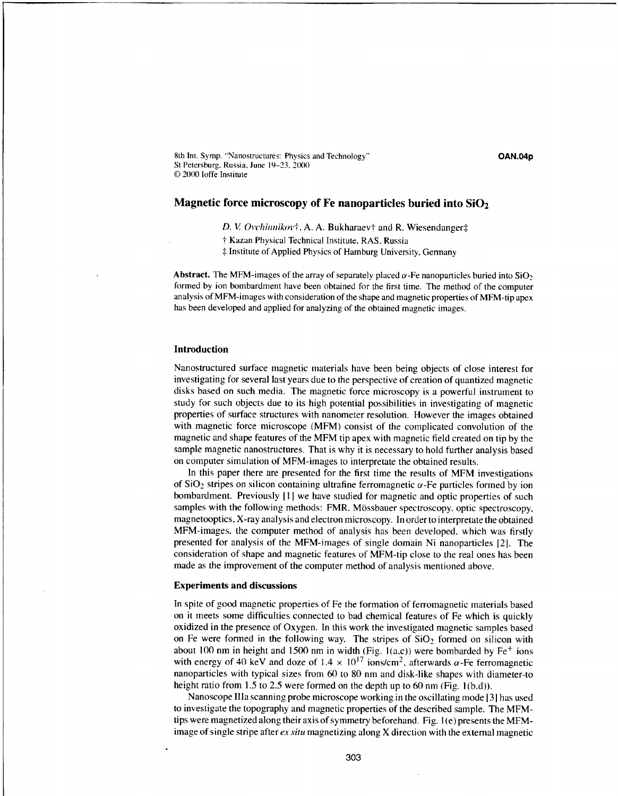8th Int. Symp. "Nanostructures: Physics and Technology" **OAN.04p** St Petersburg. Russia, June 19-23, 2000 **©** 2000 loffe Institute

# **Magnetic force microscopy of Fe nanoparticles buried into Si02**

D. V. Ovchinnikov†, A. A. Bukharaev† and R. Wiesendanger $\ddagger$ 

t Kazan Physical Technical Institute, RAS, Russia

**\*** Institute of Applied Physics of Hamburg University, Gennany

**Abstract.** The MFM-images of the array of separately placed  $\alpha$ -Fe nanoparticles buried into SiO<sub>2</sub> formed by ion bombardment have been obtained for the first time. The method of the computer analysis of MFM-images with consideration of the shape and magnetic properties of MFM-tip apex has been developed and applied for analyzing of the obtained magnetic images.

#### **Introduction**

Nanostructured surface magnetic materials have been being objects of close interest for investigating for several last years due to the perspective of creation of quantized magnetic disks based on such media. The magnetic force microscopy is a powerful instrument to study for such objects due to its high potential possibilities in investigating of magnetic properties of surface structures with nanometer resolution. However the images obtained with magnetic force microscope (MFM) consist of the complicated convolution of the magnetic and shape features of the MFM tip apex with magnetic field created on tip by the sample magnetic nanostructures. That is why it is necessary to hold further analysis based on computer simulation of MFM-images to interpretate the obtained results.

In this paper there are presented for the first time the results of MFM investigations of  $SiO<sub>2</sub>$  stripes on silicon containing ultrafine ferromagnetic  $\alpha$ -Fe particles formed by ion bombardment. Previously [1] we have studied for magnetic and optic properties of such samples with the following methods: FMR. M6ssbauer spectroscopy, optic spectroscopy, magnetooptics, X-ray analysis and electron microscopy. In order to interpretate the obtained MFM-images, the computer method of analysis has been developed, which was firstly presented for analysis of the MFM-images of single domain Ni nanoparticles [2]. The consideration of shape and magnetic features of MFM-tip close to the real ones has been made as the improvement of the computer method of analysis mentioned above.

#### **Experiments and discussions**

In spite of good magnetic properties of Fe the formation of ferromagnetic materials based on it meets some difficulties connected to bad chemical features of Fe which is quickly oxidized in the presence of Oxygen. In this work the investigated magnetic samples based on Fe were formed in the following way. The stripes of  $SiO<sub>2</sub>$  formed on silicon with about 100 nm in height and 1500 nm in width (Fig.  $1(a,c)$ ) were bombarded by Fe<sup>+</sup> ions with energy of 40 keV and doze of  $1.4 \times 10^{17}$  ions/cm<sup>2</sup>, afterwards  $\alpha$ -Fe ferromagnetic nanoparticles with typical sizes from 60 to 80 nm and disk-like shapes with diameter-to height ratio from 1.5 to 2.5 were formed on the depth up to 60 nm (Fig. 1(b,d)).

Nanoscope lila scanning probe microscope working in the oscillating mode **[31** has used to investigate the topography and magnetic properties of the described sample. The MFMtips were magnetized along their axis of symmetry beforehand. Fig. 1 (e) presents the MFMimage of single stripe after *ex situ* magnetizing along X direction with the external magnetic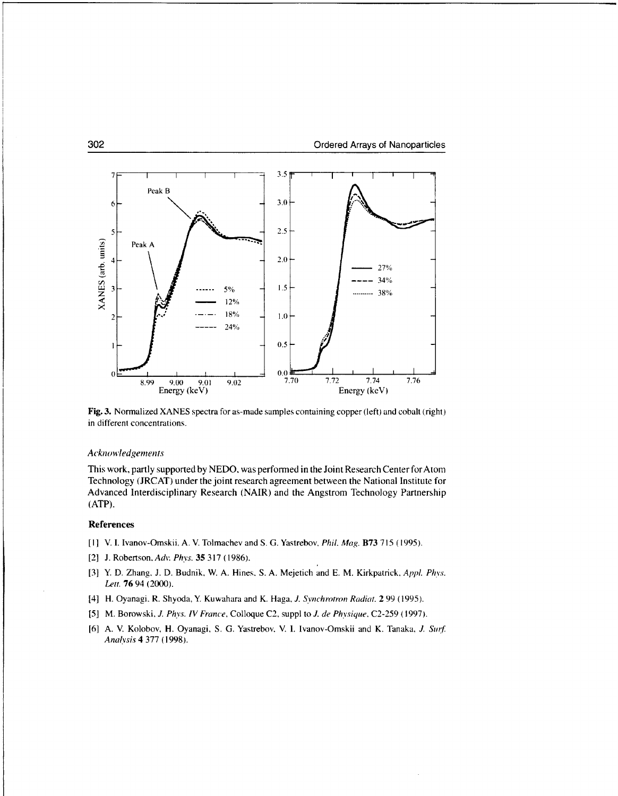

Fig. **3.** Normalized **XANES** spectra for as-made samples containing copper (left) and cobalt (right) in different concentrations.

### *Acknowledgements*

This work, partly supported **by NEDO.** was performed in the Joint Research Center forAtomn Technology **(JRCAT)** under the joint research agreement between the National Institute for Advanced Interdisciplinary Research (NAIR) and the Angstrom Technology Partnership (ATP).

## References

- **[1]** V. **I.** Ivanov-Omskii. **A.** V. Tolmachev and **S. G.** Yastrebov. *Phil.* Mag. **B73 715** *(1995).*
- [21 **J.** Robertson. Adv. *Ph-vs. 35 317* **(1986).**
- **[3]** Y. **D.** Zhang. **J. D.** Budnik. W. **A.** Hines, **S. A.** Mejetich and **E.** M. Kirkpatrick. *Appi. Ph vs. Let.* **76** 94 (2000).
- [4] H. Oyanagi. R. Shyoda, Y. Kuwahara and K. Haga. *J. Svnichrotron Radiat.* 2 **99** *(1995).*
- **[5]** M. Borowski. *. Phvs. IV France,* Colloque **C2,** suppi to *J. de PhYsique.* **C2-259 (1997).**
- **[6] A.** V. Kolobov, H. Oyanagi, **S. G.** Yastrebov. V. **1.** Ivanov-Omskii and K. Tanaka. *J Surf Analysis* 4 **377 (1998).**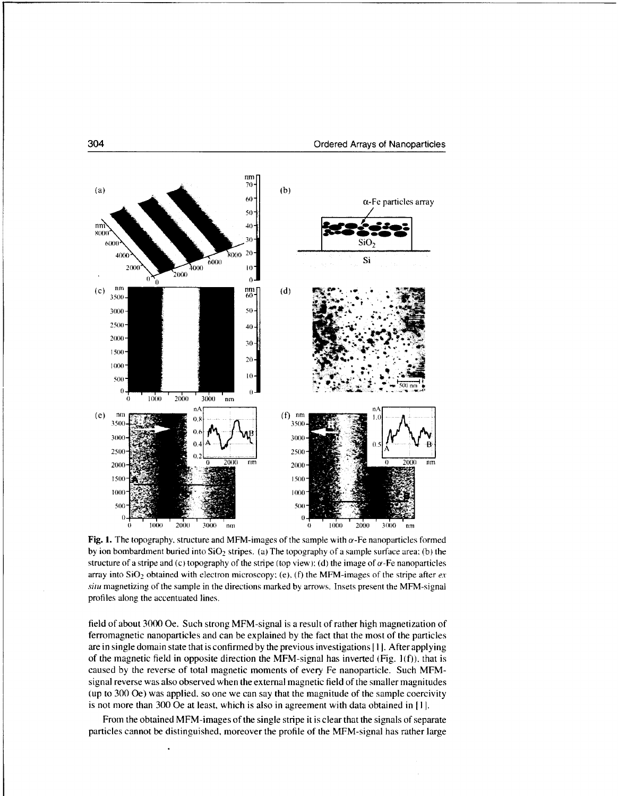

Fig. 1. The topography, structure and MFM-images of the sample with  $\alpha$ -Fe nanoparticles formed by ion bombardment buried into  $SiO<sub>2</sub>$  stripes. (a) The topography of a sample surface area: (b) the structure of a stripe and (c) topography of the stripe (top view): (d) the image of  $\alpha$ -Fe nanoparticles array into  $SiO<sub>2</sub>$  obtained with electron microscopy; (e), (f) the MFM-images of the stripe after  $ex$ *situ* magnetizing of the sample in the directions marked by arrows. Insets present the MFM-signal profiles along the accentuated lines.

field of about 3000 Oe. Such strong MFM-signal is a result of rather high magnetization of ferromagnetic nanoparticles and can be explained by the fact that the most of the particles are in single domain state that is confirmed by the previous investigations I **I].** After applying of the magnetic field in opposite direction the MFM-signal has inverted (Fig.  $1(f)$ ), that is caused by the reverse of total magnetic momens of every Fe nanoparticle. Such MFMsignal reverse was also observed when the external magnetic field of the smaller magnitudes (up to 300 Oe) was applied, so one we can say that the magnitude of the sample coercivity is not more than 300 Oe at least, which is also in agreement with data obtained in **I I.**

From the obtained MFM-images of the single stripe it is clear that the signals of separate particles cannot be distinguished, moreover the profile of the MFM-signal has rather large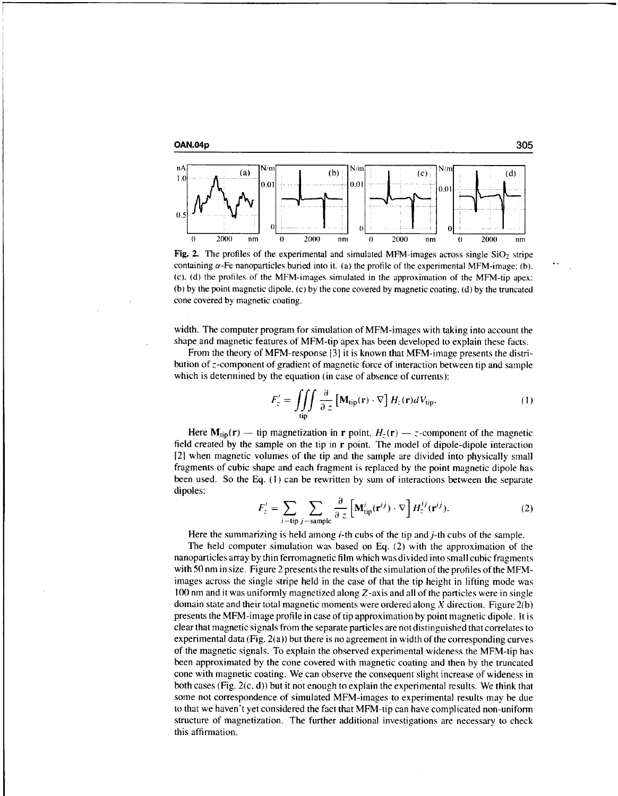



Fig. 2. The profiles of the experimental and simulated MFM-images across single  $SiO<sub>2</sub>$  stripe containing  $\alpha$ -Fe nanoparticles buried into it. (a) the profile of the experimental MFM-image: (b). (c), (d) the profiles of the MFM-images simulated in the approximation of the MFM-tip apex: (b) by the point magnetic dipole, (c) by the cone covered by magnetic coating, (d) by the truncated cone covered by magnetic coating.

width. The computer program for simulation of MFM-images with taking into account the shape and magnetic features of MFM-tip apex has been developed to explain these facts.

From the theory of MFM-response **131** it is known that MFM-image presents the distribution of  $z$ -component of gradient of magnetic force of interaction between tip and sample which is determined by the equation (in case of absence of currents):

$$
F'_{z} = \iiint\limits_{\text{tip}} \frac{\partial}{\partial z} \left[ \mathbf{M}_{\text{tip}}(\mathbf{r}) \cdot \nabla \right] H_{z}(\mathbf{r}) dV_{\text{tip}}.
$$
 (1)

Here  $M_{tip}(r)$  — tip magnetization in r point,  $H_1(r)$  — z-component of the magnetic field created by the sample on the tip in r point. The model of dipole-dipole interaction [21 when magnetic volumes of the tip and the sample are divided into physically small fragments of cubic shape and each fragment is replaced by the point magnetic dipole has been used. So the Eq. (1) can be rewritten by sum of interactions between the separate dipoles:

$$
F'_{z} = \sum_{i - \text{tip}} \sum_{j - \text{sample}} \frac{\partial}{\partial z} \left[ \mathbf{M}_{\text{tip}}^{i}(\mathbf{r}^{ij}) \cdot \nabla \right] H_{z}^{ij}(\mathbf{r}^{ij}).
$$
 (2)

Here the summarizing is held among  $i$ -th cubs of the tip and  $j$ -th cubs of the sample.

The held computer simulation was based on Eq. (2) with the approximation of the nanoparticles array by thin ferromagnetic film which was divided into small cubic fragments with 50 nm in size. Figure 2 presents the results of the simulation of the profiles of the MFMimages across the single stripe held in the case of that the tip height in lifting mode was 100 nm and it was uniformly magnetized along Z-axis and all of the particles were in single domain state and their total magnetic moments were ordered along  $X$  direction. Figure  $2(b)$ presents the MFM-image profile in case of tip approximation by point magnetic dipole. It is clear that magnetic signals from the separate particles are not distinguished that correlates to experimental data (Fig. 2(a)) but there is no agreement in width of the corresponding curves of the magnetic signals. To explain the observed experimental wideness the MFM-tip has been approximated by the cone covered with magnetic coating and then by the truncated cone with magnetic coating. We can observe the consequent slight increase of wideness in both cases (Fig. 2(c. d)) but it not enough to explain the experimental results. We think that some not correspondence of simulated MFM-images to experimental results may be due to that we haven't yet considered the fact that MFM-tip can have complicated non-uniform structure of magnetization. The further additional investigations are necessary to check this affirmation.